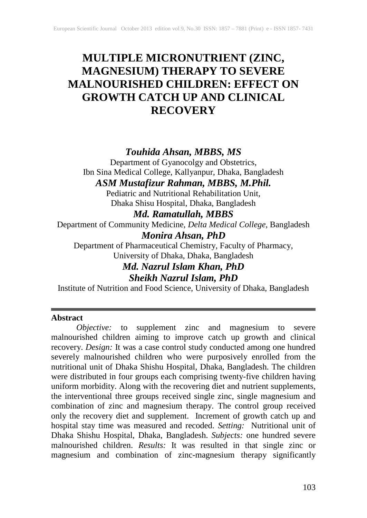# **MULTIPLE MICRONUTRIENT (ZINC, MAGNESIUM) THERAPY TO SEVERE MALNOURISHED CHILDREN: EFFECT ON GROWTH CATCH UP AND CLINICAL RECOVERY**

# *Touhida Ahsan, MBBS, MS*

Department of Gyanocolgy and Obstetrics, Ibn Sina Medical College, Kallyanpur, Dhaka, Bangladesh

*ASM Mustafizur Rahman, MBBS, M.Phil.*

Pediatric and Nutritional Rehabilitation Unit, Dhaka Shisu Hospital, Dhaka, Bangladesh

# *Md. Ramatullah, MBBS*

Department of Community Medicine, *Delta Medical College*, Bangladesh

# *Monira Ahsan, PhD*

Department of Pharmaceutical Chemistry, Faculty of Pharmacy, University of Dhaka, Dhaka, Bangladesh

# *Md. Nazrul Islam Khan, PhD*

*Sheikh Nazrul Islam, PhD*

Institute of Nutrition and Food Science, University of Dhaka, Bangladesh

## **Abstract**

*Objective:* to supplement zinc and magnesium to severe malnourished children aiming to improve catch up growth and clinical recovery. *Design:* It was a case control study conducted among one hundred severely malnourished children who were purposively enrolled from the nutritional unit of Dhaka Shishu Hospital, Dhaka, Bangladesh. The children were distributed in four groups each comprising twenty-five children having uniform morbidity. Along with the recovering diet and nutrient supplements, the interventional three groups received single zinc, single magnesium and combination of zinc and magnesium therapy. The control group received only the recovery diet and supplement. Increment of growth catch up and hospital stay time was measured and recoded. *Setting:* Nutritional unit of Dhaka Shishu Hospital, Dhaka, Bangladesh. *Subjects:* one hundred severe malnourished children. *Results:* It was resulted in that single zinc or magnesium and combination of zinc-magnesium therapy significantly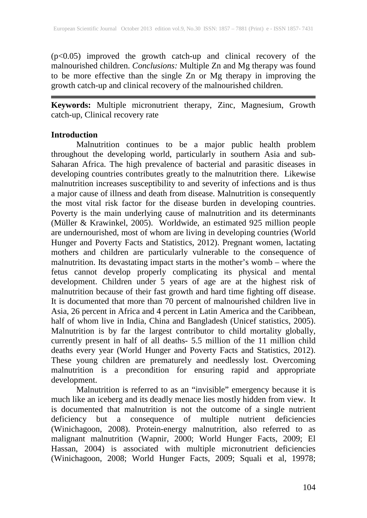(p<0.05) improved the growth catch-up and clinical recovery of the malnourished children. *Conclusions:* Multiple Zn and Mg therapy was found to be more effective than the single Zn or Mg therapy in improving the growth catch-up and clinical recovery of the malnourished children.

**Keywords:** Multiple micronutrient therapy, Zinc, Magnesium, Growth catch-up, Clinical recovery rate

## **Introduction**

Malnutrition continues to be a major public health problem throughout the developing world, particularly in southern Asia and sub-Saharan Africa. The high prevalence of bacterial and parasitic diseases in developing countries contributes greatly to the malnutrition there. Likewise malnutrition increases susceptibility to and severity of infections and is thus a major cause of illness and death from disease. Malnutrition is consequently the most vital risk factor for the disease burden in developing countries. Poverty is the main underlying cause of malnutrition and its determinants (Müller & Krawinkel, 2005). Worldwide, an estimated 925 million people are undernourished, most of whom are living in developing countries (World Hunger and Poverty Facts and Statistics, 2012). Pregnant women, lactating mothers and children are particularly vulnerable to the consequence of malnutrition. Its devastating impact starts in the mother's womb – where the fetus cannot develop properly complicating its physical and mental development. Children under 5 years of age are at the highest risk of malnutrition because of their fast growth and hard time fighting off disease. It is documented that more than 70 percent of malnourished children live in Asia, 26 percent in Africa and 4 percent in Latin America and the Caribbean, half of whom live in India, China and Bangladesh (Unicef statistics, 2005). Malnutrition is by far the largest contributor to child mortality globally, currently present in half of all deaths- 5.5 million of the 11 million child deaths every year (World Hunger and Poverty Facts and Statistics, 2012). These young children are prematurely and needlessly lost. Overcoming malnutrition is a precondition for ensuring rapid and appropriate development.

Malnutrition is referred to as an "invisible" emergency because it is much like an iceberg and its deadly menace lies mostly hidden from view. It is documented that malnutrition is not the outcome of a single nutrient deficiency but a consequence of multiple nutrient deficiencies (Winichagoon, 2008). Protein-energy malnutrition, also referred to as malignant malnutrition (Wapnir, 2000; World Hunger Facts, 2009; El Hassan, 2004) is associated with multiple micronutrient deficiencies (Winichagoon, 2008; World Hunger Facts, 2009; Squali et al, 19978;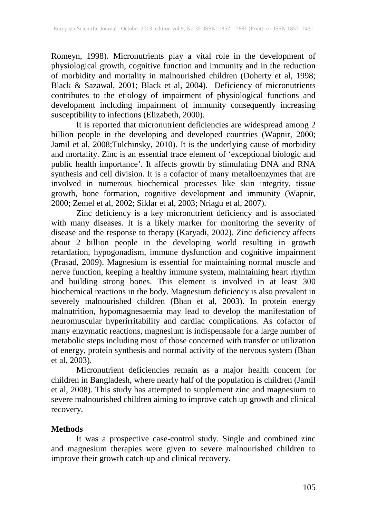Romeyn, 1998). Micronutrients play a vital role in the development of physiological growth, cognitive function and immunity and in the reduction of morbidity and mortality in malnourished children (Doherty et al, 1998; Black & Sazawal, 2001; Black et al, 2004). Deficiency of micronutrients contributes to the etiology of impairment of physiological functions and development including impairment of immunity consequently increasing susceptibility to infections (Elizabeth, 2000).

It is reported that micronutrient deficiencies are widespread among 2 billion people in the developing and developed countries (Wapnir, 2000; Jamil et al, 2008;Tulchinsky, 2010). It is the underlying cause of morbidity and mortality. Zinc is an essential trace element of 'exceptional biologic and public health importance'. It affects growth by stimulating DNA and RNA synthesis and cell division. It is a cofactor of many metalloenzymes that are involved in numerous biochemical processes like skin integrity, tissue growth, bone formation, cognitive development and immunity (Wapnir, 2000; Zemel et al, 2002; Siklar et al, 2003; Nriagu et al, 2007).

Zinc deficiency is a key micronutrient deficiency and is associated with many diseases. It is a likely marker for monitoring the severity of disease and the response to therapy (Karyadi, 2002). Zinc deficiency affects about 2 billion people in the developing world resulting in growth retardation, hypogonadism, immune dysfunction and cognitive impairment (Prasad, 2009). Magnesium is essential for maintaining normal muscle and nerve function, keeping a healthy immune system, maintaining heart rhythm and building strong bones. This element is involved in at least 300 biochemical reactions in the body. Magnesium deficiency is also prevalent in severely malnourished children (Bhan et al, 2003). In protein energy malnutrition, hypomagnesaemia may lead to develop the manifestation of neuromuscular hyperirritability and cardiac complications. As cofactor of many enzymatic reactions, magnesium is indispensable for a large number of metabolic steps including most of those concerned with transfer or utilization of energy, protein synthesis and normal activity of the nervous system (Bhan et al, 2003).

Micronutrient deficiencies remain as a major health concern for children in Bangladesh, where nearly half of the population is children (Jamil et al, 2008). This study has attempted to supplement zinc and magnesium to severe malnourished children aiming to improve catch up growth and clinical recovery.

# **Methods**

It was a prospective case-control study. Single and combined zinc and magnesium therapies were given to severe malnourished children to improve their growth catch-up and clinical recovery.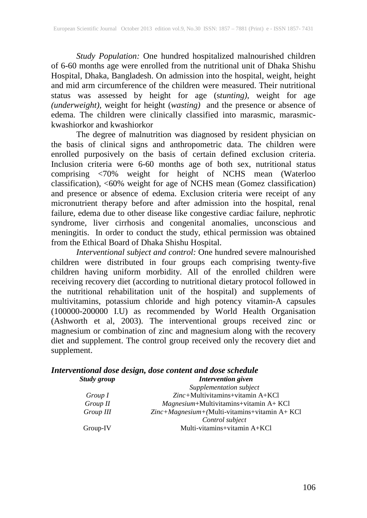*Study Population:* One hundred hospitalized malnourished children of 6-60 months age were enrolled from the nutritional unit of Dhaka Shishu Hospital, Dhaka, Bangladesh. On admission into the hospital, weight, height and mid arm circumference of the children were measured. Their nutritional status was assessed by height for age (s*tunting)*, weight for age *(underweight),* weight for height (*wasting)* and the presence or absence of edema. The children were clinically classified into marasmic, marasmickwashiorkor and kwashiorkor

The degree of malnutrition was diagnosed by resident physician on the basis of clinical signs and anthropometric data. The children were enrolled purposively on the basis of certain defined exclusion criteria. Inclusion criteria were 6-60 months age of both sex, nutritional status comprising <70% weight for height of NCHS mean (Waterloo classification), <60% weight for age of NCHS mean (Gomez classification) and presence or absence of edema. Exclusion criteria were receipt of any micronutrient therapy before and after admission into the hospital, renal failure, edema due to other disease like congestive cardiac failure, nephrotic syndrome, liver cirrhosis and congenital anomalies, unconscious and meningitis. In order to conduct the study, ethical permission was obtained from the Ethical Board of Dhaka Shishu Hospital.

*Interventional subject and control:* One hundred severe malnourished children were distributed in four groups each comprising twenty-five children having uniform morbidity. All of the enrolled children were receiving recovery diet (according to nutritional dietary protocol followed in the nutritional rehabilitation unit of the hospital) and supplements of multivitamins, potassium chloride and high potency vitamin-A capsules (100000-200000 I.U) as recommended by World Health Organisation (Ashworth et al, 2003). The interventional groups received zinc or magnesium or combination of zinc and magnesium along with the recovery diet and supplement. The control group received only the recovery diet and supplement.

#### *Interventional dose design, dose content and dose schedule Study group Intervention given*

|           | Supplementation subject                         |
|-----------|-------------------------------------------------|
| Group I   | $Zinc+Multivitamins+vitamin A+KCl$              |
| Group II  | $Magnesium + Multivitamins + vitamin A + KCl$   |
| Group III | $Zinc+Magnesium+(Multi-vitamins+vitamin A+KC1)$ |
|           | Control subject                                 |
| Group-IV  | Multi-vitamins+vitamin $A+KCI$                  |
|           |                                                 |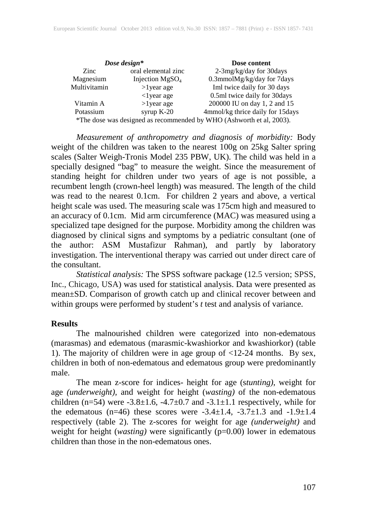|              | Dose design*         | Dose content                                                         |
|--------------|----------------------|----------------------------------------------------------------------|
| Zinc         | oral elemental zinc  | 2-3mg/kg/day for 30days                                              |
| Magnesium    | Injection $MgSO4$    | 0.3mmolMg/kg/day for 7days                                           |
| Multivitamin | $>1$ year age        | Iml twice daily for 30 days                                          |
|              | $\langle$ 1 year age | 0.5ml twice daily for 30days                                         |
| Vitamin A    | $>1$ year age        | 200000 IU on day 1, 2 and 15                                         |
| Potassium    | syrup $K-20$         | 4mmol/kg thrice daily for 15days                                     |
|              |                      | *The dose was designed as recommended by WHO (Ashworth et al, 2003). |

*Measurement of anthropometry and diagnosis of morbidity:* Body weight of the children was taken to the nearest 100g on 25kg Salter spring scales (Salter Weigh-Tronis Model 235 PBW, UK). The child was held in a specially designed "bag" to measure the weight. Since the measurement of standing height for children under two years of age is not possible, a recumbent length (crown-heel length) was measured. The length of the child was read to the nearest 0.1cm. For children 2 years and above, a vertical height scale was used. The measuring scale was 175cm high and measured to an accuracy of 0.1cm. Mid arm circumference (MAC) was measured using a specialized tape designed for the purpose. Morbidity among the children was diagnosed by clinical signs and symptoms by a pediatric consultant (one of the author: ASM Mustafizur Rahman), and partly by laboratory investigation. The interventional therapy was carried out under direct care of the consultant.

*Statistical analysis:* The SPSS software package (12.5 version; SPSS, Inc., Chicago, USA) was used for statistical analysis. Data were presented as mean±SD. Comparison of growth catch up and clinical recover between and within groups were performed by student's *t* test and analysis of variance.

### **Results**

The malnourished children were categorized into non-edematous (marasmas) and edematous (marasmic-kwashiorkor and kwashiorkor) (table 1). The majority of children were in age group of <12-24 months. By sex, children in both of non-edematous and edematous group were predominantly male.

The mean z-score for indices- height for age (s*tunting)*, weight for age *(underweight),* and weight for height (*wasting)* of the non-edematous children (n=54) were  $-3.8\pm1.6$ ,  $-4.7\pm0.7$  and  $-3.1\pm1.1$  respectively, while for the edematous (n=46) these scores were  $-3.4 \pm 1.4$ ,  $-3.7 \pm 1.3$  and  $-1.9 \pm 1.4$ respectively (table 2). The z-scores for weight for age *(underweight)* and weight for height (*wasting)* were significantly (p=0.00) lower in edematous children than those in the non-edematous ones.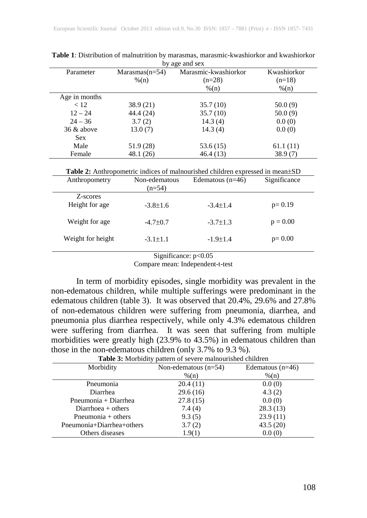| by age and sex   |                      |             |  |  |  |  |  |
|------------------|----------------------|-------------|--|--|--|--|--|
| $Marasmas(n=54)$ | Marasmic-kwashiorkor | Kwashiorkor |  |  |  |  |  |
| $\%$ (n)         | $(n=28)$             | $(n=18)$    |  |  |  |  |  |
|                  | $\%$ (n)             | $\%$ (n)    |  |  |  |  |  |
|                  |                      |             |  |  |  |  |  |
| 38.9 (21)        | 35.7(10)             | 50.0(9)     |  |  |  |  |  |
| 44.4 (24)        | 35.7(10)             | 50.0(9)     |  |  |  |  |  |
| 3.7(2)           | 14.3(4)              | 0.0(0)      |  |  |  |  |  |
| 13.0(7)          | 14.3(4)              | 0.0(0)      |  |  |  |  |  |
|                  |                      |             |  |  |  |  |  |
| 51.9 (28)        | 53.6(15)             | 61.1(11)    |  |  |  |  |  |
| 48.1 (26)        | 46.4 (13)            | 38.9(7)     |  |  |  |  |  |
|                  |                      |             |  |  |  |  |  |

| <b>Table 1:</b> Distribution of malnutrition by marasmas, marasmic-kwashiorkor and kwashiorkor |                |  |
|------------------------------------------------------------------------------------------------|----------------|--|
|                                                                                                | by age and sex |  |

|               |               | <b>Table 2:</b> Anthropometric indices of malnourished children expressed in mean $\pm$ SD |              |
|---------------|---------------|--------------------------------------------------------------------------------------------|--------------|
| Anthropometry | Non-edematous | Edematous $(n=46)$                                                                         | Significance |

| Allull opolitett y         | TVOIT-CUCHIALOUS<br>$(n=54)$ | $LucHauuauu$   | $\mathcal{L}$ gillin Calluc |
|----------------------------|------------------------------|----------------|-----------------------------|
| Z-scores<br>Height for age | $-3.8 \pm 1.6$               | $-3.4 \pm 1.4$ | $p=0.19$                    |
| Weight for age             | $-4.7 \pm 0.7$               | $-3.7 \pm 1.3$ | $p = 0.00$                  |
| Weight for height          | $-3.1 \pm 1.1$               | $-1.9 \pm 1.4$ | $p=0.00$                    |

Significance: p<0.05

Compare mean: Independent-t-test

In term of morbidity episodes, single morbidity was prevalent in the non-edematous children, while multiple sufferings were predominant in the edematous children (table 3). It was observed that 20.4%, 29.6% and 27.8% of non-edematous children were suffering from pneumonia, diarrhea, and pneumonia plus diarrhea respectively, while only 4.3% edematous children were suffering from diarrhea. It was seen that suffering from multiple morbidities were greatly high (23.9% to 43.5%) in edematous children than those in the non-edematous children (only 3.7% to 9.3 %).

|                           | <b>Table 5:</b> MOTORITY pattern of severe maniourished emitted |                    |  |  |  |  |  |
|---------------------------|-----------------------------------------------------------------|--------------------|--|--|--|--|--|
| Morbidity                 | Non-edematous $(n=54)$                                          | Edematous $(n=46)$ |  |  |  |  |  |
|                           | $\frac{9}{6}$ (n)                                               | $\frac{9}{6}$ (n)  |  |  |  |  |  |
| Pneumonia                 | 20.4(11)                                                        | 0.0(0)             |  |  |  |  |  |
| Diarrhea                  | 29.6(16)                                                        | 4.3(2)             |  |  |  |  |  |
| Pneumonia + Diarrhea      | 27.8(15)                                                        | 0.0(0)             |  |  |  |  |  |
| Diarrhoea $+$ others      | 7.4(4)                                                          | 28.3(13)           |  |  |  |  |  |
| Pneumonia $+$ others      | 9.3(5)                                                          | 23.9(11)           |  |  |  |  |  |
| Pneumonia+Diarrhea+others | 3.7(2)                                                          | 43.5(20)           |  |  |  |  |  |
| Others diseases           | 1.9(1)                                                          | 0.0(0)             |  |  |  |  |  |

**Table 3:** Morbidity pattern of severe malnourished children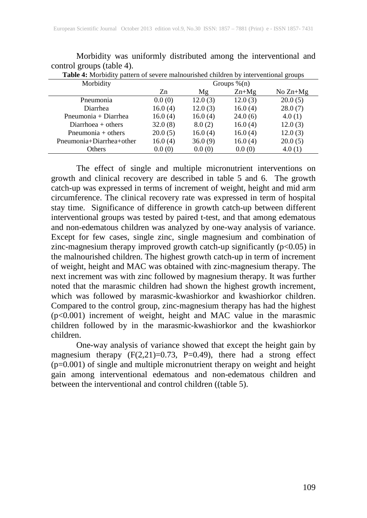| <b>Table 4:</b> Morbidity pattern of severe mainourished children by interventional groups |                 |         |         |            |  |  |  |
|--------------------------------------------------------------------------------------------|-----------------|---------|---------|------------|--|--|--|
| Morbidity                                                                                  | Groups $\%$ (n) |         |         |            |  |  |  |
|                                                                                            | Zn              | Mg      | $Zn+Mg$ | No $Zn+Mg$ |  |  |  |
| Pneumonia                                                                                  | 0.0(0)          | 12.0(3) | 12.0(3) | 20.0(5)    |  |  |  |
| Diarrhea                                                                                   | 16.0(4)         | 12.0(3) | 16.0(4) | 28.0(7)    |  |  |  |
| Pneumonia + Diarrhea                                                                       | 16.0(4)         | 16.0(4) | 24.0(6) | 4.0(1)     |  |  |  |
| Diarrhoea $+$ others                                                                       | 32.0(8)         | 8.0(2)  | 16.0(4) | 12.0(3)    |  |  |  |
| Pneumonia $+$ others                                                                       | 20.0(5)         | 16.0(4) | 16.0(4) | 12.0(3)    |  |  |  |
| Pneumonia+Diarrhea+other                                                                   | 16.0(4)         | 36.0(9) | 16.0(4) | 20.0(5)    |  |  |  |
| Others                                                                                     | 0.0(0)          | 0.0(0)  | 0.0(0)  | 4.0(1)     |  |  |  |
|                                                                                            |                 |         |         |            |  |  |  |

Morbidity was uniformly distributed among the interventional and control groups (table 4). **Table 4:** Morbidity pattern of severe malnourished children by interventional groups

The effect of single and multiple micronutrient interventions on growth and clinical recovery are described in table 5 and 6. The growth catch-up was expressed in terms of increment of weight, height and mid arm circumference. The clinical recovery rate was expressed in term of hospital stay time. Significance of difference in growth catch-up between different interventional groups was tested by paired t-test, and that among edematous and non-edematous children was analyzed by one-way analysis of variance. Except for few cases, single zinc, single magnesium and combination of zinc-magnesium therapy improved growth catch-up significantly  $(p<0.05)$  in the malnourished children. The highest growth catch-up in term of increment of weight, height and MAC was obtained with zinc-magnesium therapy. The next increment was with zinc followed by magnesium therapy. It was further noted that the marasmic children had shown the highest growth increment, which was followed by marasmic-kwashiorkor and kwashiorkor children. Compared to the control group, zinc-magnesium therapy has had the highest (p<0.001) increment of weight, height and MAC value in the marasmic children followed by in the marasmic-kwashiorkor and the kwashiorkor children.

One-way analysis of variance showed that except the height gain by magnesium therapy  $(F(2,21)=0.73, P=0.49)$ , there had a strong effect (p=0.001) of single and multiple micronutrient therapy on weight and height gain among interventional edematous and non-edematous children and between the interventional and control children ((table 5).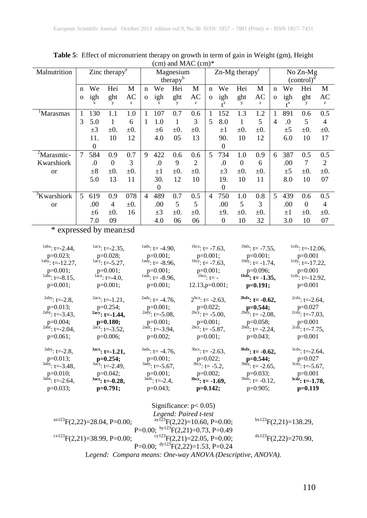| Malnutrition            |   |          | Zinc therapy <sup>a</sup> |           |                      |          | Magnesium |                |              |                           | $Zn$ -Mg therapy <sup>c</sup> |           |              |                           | No Zn-Mg  |           |
|-------------------------|---|----------|---------------------------|-----------|----------------------|----------|-----------|----------------|--------------|---------------------------|-------------------------------|-----------|--------------|---------------------------|-----------|-----------|
|                         |   |          |                           |           | therapy <sup>b</sup> |          |           |                |              |                           | (control) <sup>a</sup>        |           |              |                           |           |           |
|                         | n | We       | Hei                       | M         | n                    | We       | Hei       | M              | n            | We                        | Hei                           | M         | n            | We                        | Hei       | M         |
|                         | O | igh      | ght                       | AC        | $\Omega$             | igh      | ght       | AC             | $\mathbf{O}$ | igh                       | ght                           | AC        | $\mathbf{O}$ | igh                       | ght       | AC        |
|                         |   |          | y                         | z         |                      |          | y         | z              |              | $\mathbf{A}^{\mathbf{X}}$ | у                             | z         |              | $\mathbf{A}^{\mathbf{X}}$ | у         | z         |
| Marasmas                | 1 | 130      | 1.1                       | 1.0       | 1                    | 107      | 0.7       | 0.6            | 1            | 152                       | 1.3                           | 1.2       |              | 891                       | 0.6       | 0.5       |
|                         | 3 | 5.0      | 1                         | 6         | 1                    | 1.0      | 1         | 3              | 5            | 8.0                       | 1                             | 5         | 4            | .0                        | 5         | 4         |
|                         |   | $\pm 3$  | $\pm 0.$                  | $\pm 0$ . |                      | ±6       | $\pm 0.$  | $\pm 0$ .      |              | $\pm 1$                   | $\pm 0.$                      | $\pm 0$ . |              | $\pm 5$                   | $\pm 0.$  | $\pm 0$ . |
|                         |   | 11.      | 10                        | 12        |                      | 4.0      | 05        | 13             |              | 90.                       | 10                            | 12        |              | 6.0                       | 10        | 17        |
|                         |   | $\Omega$ |                           |           |                      |          |           |                |              | $\Omega$                  |                               |           |              |                           |           |           |
| <sup>2</sup> Marasmic-  | 7 | 584      | 0.9                       | 0.7       | 9                    | 422      | 0.6       | 0.6            | 5            | 734                       | 1.0                           | 0.9       | 6            | 387                       | 0.5       | 0.5       |
| Kwarshiork              |   | .0       | $\Omega$                  | 3         |                      | .0       | 9         | $\overline{c}$ |              | .0                        | $\mathbf{0}$                  | 6         |              | .00                       | 7         | 2         |
| <b>or</b>               |   | $\pm 8$  | $\pm 0.$                  | $\pm 0$ . |                      | $\pm 1$  | $\pm 0.$  | $\pm 0$ .      |              | $\pm 3$                   | $\pm 0.$                      | $\pm 0$ . |              | ±5                        | $\pm 0$ . | $\pm 0$ . |
|                         |   | 5.0      | 13                        | 11        |                      | 30.      | 12        | 10             |              | 19.                       | 10                            | 11        |              | 8.0                       | 10        | 07        |
|                         |   |          |                           |           |                      | $\theta$ |           |                |              | $\theta$                  |                               |           |              |                           |           |           |
| <sup>3</sup> Kwarshiork | 5 | 619      | 0.9                       | 078       | 4                    | 489      | 0.7       | 0.5            | 4            | 750                       | 1.0                           | 0.8       | 5            | 439                       | 0.6       | 0.5       |
| <b>or</b>               |   | .00      | 4                         | $\pm 0$ . |                      | .00      | 5         | 5              |              | .00                       | 5                             | 3         |              | .00                       | $\theta$  | 4         |
|                         |   | ±6       | $\pm 0.$                  | 16        |                      | $\pm 3$  | $\pm 0$ . | $\pm 0$ .      |              | $\pm 9$ .                 | $\pm 0.$                      | $\pm 0$ . |              | $\pm 1$                   | $\pm 0$ . | $\pm 0$ . |
|                         |   | 7.0      | 09                        |           |                      | 4.0      | 06        | 06             |              | $\theta$                  | 10                            | 32        |              | 3.0                       | 10        | 07        |

**Table 5**: Effect of micronutrient therapy on growth in term of gain in Weight (gm), Height (cm) and MAC (cm)\*

# \* expressed by mean±sd

| $1^{abs}$ : t=-2.44,          | $^{1acx}$ : t=-2.35,             | $^{1\text{adx}}$ : t= -4.90,       | $^{1bcx}$ : t= -7.63,       | $^{1bdx}$ : t= -7.55,        | $1cdx$ : t=-12.06,            |
|-------------------------------|----------------------------------|------------------------------------|-----------------------------|------------------------------|-------------------------------|
| $p=0.023;$                    | $p=0.028;$                       | $p=0.001;$                         | $p=0.001;$                  | $p=0.001;$                   | $p=0.001$                     |
| $\frac{1}{2}$ iaby: t=-12.27, | $^{1acy}$ : t=-5.27,             | $^{1\text{ad}\hat{y}}$ : t= -8.96, | $^{1bcy}$ : t= -7.63,       | $^{1bdy}$ : t= -1.74,        | $1^{1}$ cdy: t=-17.22,        |
| $p=0.001;$                    | $p=0.001;$                       | $p=0.001;$                         | $p=0.001;$                  | p=0.096;                     | $p=0.001$                     |
| $\frac{1abz}{1}$ : t=-8.15,   | $\frac{1}{\text{acz}}$ : t=-4.0, | $^{1adz}$ : t= -8.96,              | $\frac{1}{1}$ t= -          | $^{1bdz}$ : t= -1.35,        | $1cd\overline{z}$ : t=-12.92, |
| $p=0.001;$                    | $p=0.001$ ;                      | $p=0.001;$                         | $12.13$ , $p=0.001$ ;       | $p=0.191;$                   | $p=0.001$                     |
| $^{2aby}: t=-2.8,$            | $2acx$ : t=-1.21,                | $^{2ads}$ : t= -4.76,              | $2^{bcx}$ : t= -2.63,       | $^{2bdx}$ : t= -0.62,        | $2cdx$ : t=-2.64,             |
| $p=0.013$ ;                   | $p=0.254$ ;                      | $p=0.001;$                         | $p=0.022;$                  | $p=0.544;$                   | $p=0.027$                     |
| $^{2a\bar{b}y}$ : t=-3.43,    | $2acy: t=1.44,$                  | $^{2\text{ady}}$ : t=-5.08,        | $^{2bcy}$ : t= -5.00,       | $^{2bdy}$ : t= -2.08,        | $^{2cdy}$ : t=-7.03,          |
| $p=0.004;$                    | $p=0.180;$                       | $p=0.001;$                         | $p=0.001;$                  | $p=0.058;$                   | $p=0.001$                     |
| $^{2abz}$ : t=-2.04,          | $2acc$ : t=-3.52,                | $^{2adz}$ : t=-3.94,               | $^{2bc\bar{z}}$ : t= -5.87, | $^{2bdz}$ : t= -2.24,        | $^{2cdz}$ : t=-7.75,          |
| $p=0.061;$                    | $p=0.006$ ;                      | $p=0.002;$                         | $p=0.001;$                  | $p=0.043;$                   | $p=0.001$                     |
| $3aby: t=-2.8,$               | $3acx$ : t=-1.21,                | $3^{3}$ adx; t= -4.76,             | $3bcx$ : t= -2.63,          | $3bdx$ : t= -0.62,           | $3cdx$ : t=-2.64,             |
| $p=0.013;$                    | $p=0.254;$                       | $p=0.001;$                         | $p=0.022;$                  | $p=0.544;$                   | $p=0.027$                     |
| $3a\bar{b}y$ : t=-3.48,       | $3acy: t=-2.49$ ,                | $3\text{ady}: t = -5.67,$          | $3b\bar{c}y$ : t= -5.2,     | $^{3\text{bdy}}$ : t= -2.65, | $3cdy$ : t=-5.67,             |
| $p=0.010;$                    | $p=0.042$ ;                      | $p=0.001;$                         | $p=0.002$ ;                 | $p=0.033;$                   | $p=0.001$                     |
| $3a\bar{b}z$ : t=-2.64,       | $3$ acz: t=-0.28,                | $3\tilde{a}dz$ : t=-2.4,           | $3\text{bc}z$ : t= -1.69,   | $^{3bdz}$ : t= -0.12,        | $3cd\overline{z}$ : t=-1.78,  |
| $p=0.033;$                    | $p=0.791;$                       | $p=0.043$ ;                        | $p=0.142;$                  | $p=0.905;$                   | $p=0.119$                     |

|                                            | Significance: $p < 0.05$ )                                |                                  |
|--------------------------------------------|-----------------------------------------------------------|----------------------------------|
|                                            | Legend: Paired t-test                                     |                                  |
| $\mathrm{ax123F(2,22)} = 28.04, P = 0.00;$ | <sup>ay123</sup> F(2,22)=10.60, P=0.00;                   | $bx123F(2,21)=138.29$ ,          |
|                                            | P=0.00; $\frac{by123}{P(2,21)}=0.73$ , P=0.49             |                                  |
| $\mathrm{ex}^{123}F(2,21)=38.99, P=0.00;$  | $\mathrm{^{cy123}F(2,21)=22.05}$ , P=0.00;                | $\mathrm{d}x123}F(2,22)=270.90,$ |
|                                            | P=0.00; $\frac{dy123F(2,22)=1.53}{P=0.24}$                |                                  |
|                                            | Legend: Compara means: One-way ANOVA (Descriptive, ANOVA) |                                  |

L*egend: Compara means: One-way ANOVA (Descriptive, ANOVA).*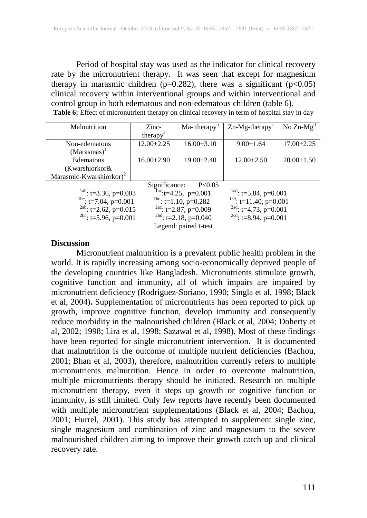Period of hospital stay was used as the indicator for clinical recovery rate by the micronutrient therapy. It was seen that except for magnesium therapy in marasmic children ( $p=0.282$ ), there was a significant ( $p<0.05$ ) clinical recovery within interventional groups and within interventional and control group in both edematous and non-edematous children (table 6). **Table 6:** Effect of micronutrient therapy on clinical recovery in term of hospital stay in day

| Malnutrition                        | $Zinc-$                 | $Ma$ - therapy <sup>b</sup>       | $Zn-Mg$ -therapy <sup>c</sup> | No $Zn-Mg^d$                              |  |  |
|-------------------------------------|-------------------------|-----------------------------------|-------------------------------|-------------------------------------------|--|--|
|                                     | therapy <sup>a</sup>    |                                   |                               |                                           |  |  |
| Non-edematous                       | $12.00 \pm 2.25$        | $16.00 \pm 3.10$                  | $9.00 \pm 1.64$               | $17.00 \pm 2.25$                          |  |  |
| $(Marasmas)^{1}$                    |                         |                                   |                               |                                           |  |  |
| Edematous                           | $16.00 \pm 2.90$        | $19.00 \pm 2.40$                  | $12.00 \pm 2.50$              | $20.00 \pm 1.50$                          |  |  |
| (Kwarshiorkor&                      |                         |                                   |                               |                                           |  |  |
| Marasmic-Kwarshiorkor) <sup>2</sup> |                         |                                   |                               |                                           |  |  |
|                                     | Significance:           | P < 0.05                          |                               |                                           |  |  |
| $\frac{1ab}{1}$ : t=3.36, p=0.003   |                         | $\frac{1}{2}$ ac: t=4.25, p=0.001 |                               | $\frac{1 \text{ad}}{2}$ : t=5.84, p=0.001 |  |  |
| <sup>1bc</sup> : t=7.04, p=0.001    |                         | $1^{1bd}$ : t=1.10, p=0.282       | $lcd$ : t=11.40, p=0.001      |                                           |  |  |
| <sup>2ab</sup> : t=2.62, p=0.015    | $2ac$ : t=2.87, p=0.009 | $^{2ad}$ : t=4.73, p=0.001        |                               |                                           |  |  |
| <sup>2bc</sup> : t=5.96, p=0.001    |                         | $^{2bd}$ : t=2.18, p=0.040        | $2cd$ : t=8.94, p=0.001       |                                           |  |  |
| Legend: paired t-test               |                         |                                   |                               |                                           |  |  |

#### **Discussion**

Micronutrient malnutrition is a prevalent public health problem in the world. It is rapidly increasing among socio-economically deprived people of the developing countries like Bangladesh. Micronutrients stimulate growth, cognitive function and immunity, all of which impairs are impaired by micronutrient deficiency (Rodriguez-Soriano, 1990; Singla et al, 1998; Black et al, 2004)**.** Supplementation of micronutrients has been reported to pick up growth, improve cognitive function, develop immunity and consequently reduce morbidity in the malnourished children (Black et al, 2004; Doherty et al, 2002; 1998; Lira et al, 1998; Sazawal et al, 1998). Most of these findings have been reported for single micronutrient intervention. It is documented that malnutrition is the outcome of multiple nutrient deficiencies (Bachou, 2001; Bhan et al, 2003), therefore, malnutrition currently refers to multiple micronutrients malnutrition. Hence in order to overcome malnutrition, multiple micronutrients therapy should be initiated. Research on multiple micronutrient therapy, even it steps up growth or cognitive function or immunity, is still limited. Only few reports have recently been documented with multiple micronutrient supplementations (Black et al, 2004; Bachou, 2001; Hurrel, 2001). This study has attempted to supplement single zinc, single magnesium and combination of zinc and magnesium to the severe malnourished children aiming to improve their growth catch up and clinical recovery rate.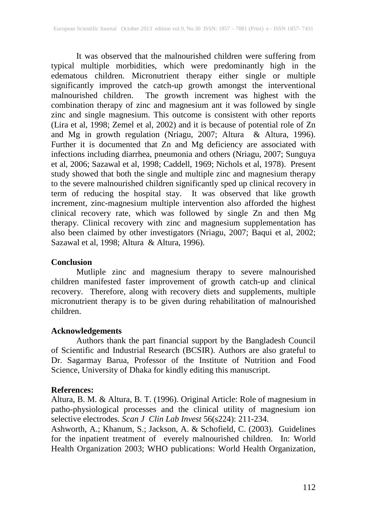It was observed that the malnourished children were suffering from typical multiple morbidities, which were predominantly high in the edematous children. Micronutrient therapy either single or multiple significantly improved the catch-up growth amongst the interventional malnourished children. The growth increment was highest with the combination therapy of zinc and magnesium ant it was followed by single zinc and single magnesium. This outcome is consistent with other reports (Lira et al, 1998; Zemel et al, 2002) and it is because of potential role of Zn and Mg in growth regulation (Nriagu, 2007; Altura & Altura, 1996). Further it is documented that Zn and Mg deficiency are associated with infections including diarrhea, pneumonia and others (Nriagu, 2007; Sunguya et al, 2006; Sazawal et al, 1998; Caddell, 1969; Nichols et al, 1978). Present study showed that both the single and multiple zinc and magnesium therapy to the severe malnourished children significantly sped up clinical recovery in term of reducing the hospital stay. It was observed that like growth increment, zinc-magnesium multiple intervention also afforded the highest clinical recovery rate, which was followed by single Zn and then Mg therapy. Clinical recovery with zinc and magnesium supplementation has also been claimed by other investigators (Nriagu, 2007; Baqui et al, 2002; Sazawal et al, 1998; Altura & Altura, 1996).

### **Conclusion**

Mutliple zinc and magnesium therapy to severe malnourished children manifested faster improvement of growth catch-up and clinical recovery. Therefore, along with recovery diets and supplements, multiple micronutrient therapy is to be given during rehabilitation of malnourished children.

## **Acknowledgements**

Authors thank the part financial support by the Bangladesh Council of Scientific and Industrial Research (BCSIR). Authors are also grateful to Dr. Sagarmay Barua, Professor of the Institute of Nutrition and Food Science, University of Dhaka for kindly editing this manuscript.

## **References:**

Altura, B. M. & Altura, B. T. (1996). Original Article: Role of magnesium in patho-physiological processes and the clinical utility of magnesium ion selective electrodes. *Scan J Clin Lab Invest* 56(s224): 211-234.

Ashworth, A.; Khanum, S.; Jackson, A. & Schofield, C. (2003). Guidelines for the inpatient treatment of everely malnourished children. In: World Health Organization 2003; WHO publications: World Health Organization,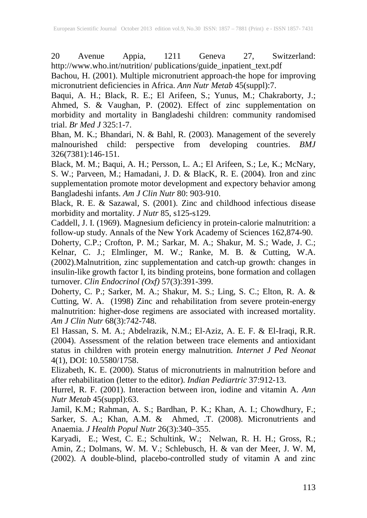20 Avenue Appia, 1211 Geneva 27, Switzerland: http://www.who.int/nutrition/ publications/guide\_inpatient\_text.pdf

Bachou, H. (2001). Multiple micronutrient approach-the hope for improving micronutrient deficiencies in Africa. *Ann Nutr Metab* 45(suppl):7.

Baqui, A. H.; Black, R. E.; El Arifeen, S.; Yunus, M.; Chakraborty, J.; Ahmed, S. & Vaughan, P. (2002). Effect of zinc supplementation on morbidity and mortality in Bangladeshi children: community randomised trial. *Br Med J* 325:1-7.

Bhan, M. K.; Bhandari, N. & Bahl, R. (2003). Management of the severely malnourished child: perspective from developing countries. *BMJ* 326(7381):146-151.

Black, M. M.; Baqui, A. H.; Persson, L. A.; El Arifeen, S.; Le, K.; McNary, S. W.; Parveen, M.; Hamadani, J. D. & BlacK, R. E. (2004). Iron and zinc supplementation promote motor development and expectory behavior among Bangladeshi infants. *Am J Clin Nutr* 80: 903-910.

Black, R. E. & Sazawal, S. (2001). Zinc and childhood infectious disease morbidity and mortality. *J Nutr* 85, s125-s129.

Caddell, J. I. (1969). Magnesium deficiency in protein-calorie malnutrition: a follow-up study. Annals of the New York Academy of Sciences 162,874-90.

Doherty, C.P.; Crofton, P. M.; Sarkar, M. A.; Shakur, M. S.; Wade, J. C.; Kelnar, C. J.; Elmlinger, M. W.; Ranke, M. B. & Cutting, W.A. (2002).Malnutrition, zinc supplementation and catch-up growth: changes in insulin-like growth factor I, its binding proteins, bone formation and collagen turnover. *Clin Endocrinol (Oxf)* 57(3):391-399.

Doherty, C. P.; Sarker, M. A.; Shakur, M. S.; Ling, S. C.; Elton, R. A. & Cutting, W. A. (1998) Zinc and rehabilitation from severe protein-energy malnutrition: higher-dose regimens are associated with increased mortality. *Am J Clin Nutr* 68(3):742-748.

El Hassan, S. M. A.; Abdelrazik, N.M.; El-Aziz, A. E. F. & El-Iraqi, R.R. (2004). Assessment of the relation between trace elements and antioxidant status in children with protein energy malnutrition*. Internet J Ped Neonat*  4(1), DOI: 10.5580/1758.

Elizabeth, K. E. (2000). Status of micronutrients in malnutrition before and after rehabilitation (letter to the editor). *Indian Pediartric* 37:912-13.

Hurrel, R. F. (2001). Interaction between iron, iodine and vitamin A. *Ann Nutr Metab* 45(suppl):63.

Jamil, K.M.; Rahman, A. S.; Bardhan, P. K.; Khan, A. I.; Chowdhury, F.; Sarker, S. A.; Khan, A.M. & Ahmed, .T. (2008). Micronutrients and Anaemia. *J Health Popul Nutr* 26(3):340–355.

Karyadi, E.; West, C. E.; Schultink, W.; Nelwan, R. H. H.; Gross, R.; Amin, Z.; Dolmans, W. M. V.; Schlebusch, H. & van der Meer, J. W. M, (2002). A double-blind, placebo-controlled study of vitamin A and zinc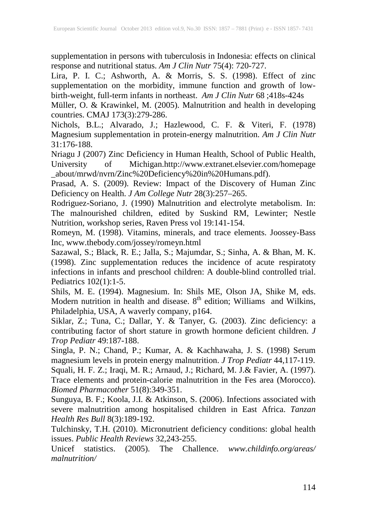supplementation in persons with tuberculosis in Indonesia: effects on clinical response and nutritional status. *Am J Clin Nutr* 75(4): 720-727.

Lira, P. I. C.; Ashworth, A. & Morris, S. S. (1998). Effect of zinc supplementation on the morbidity, immune function and growth of lowbirth-weight, full-term infants in northeast. *Am J Clin Nutr* 68 ;418s-424s

Müller, O. & Krawinkel, M. (2005). Malnutrition and health in developing countries. CMAJ 173(3):279-286.

Nichols, B.L.; Alvarado, J.; Hazlewood, C. F. & Viteri, F. (1978) Magnesium supplementation in protein-energy malnutrition. *Am J Clin Nutr* 31:176-188.

Nriagu J (2007) Zinc Deficiency in Human Health, School of Public Health, University of Michigan.http://www.extranet.elsevier.com/homepage \_about/mrwd/nvrn/Zinc%20Deficiency%20in%20Humans.pdf).

Prasad, A. S. (2009). Review: Impact of the Discovery of Human Zinc Deficiency on Health. *J Am College Nutr* 28(3):257–265.

Rodriguez-Soriano, J. (1990) Malnutrition and electrolyte metabolism. In: The malnourished children, edited by Suskind RM, Lewinter; Nestle Nutrition, workshop series, Raven Press vol 19:141-154.

Romeyn, M. (1998). Vitamins, minerals, and trace elements. Joossey-Bass Inc, www.thebody.com/jossey/romeyn.html

Sazawal, S.; Black, R. E.; Jalla, S.; Majumdar, S.; Sinha, A. & Bhan, M. K. (1998). Zinc supplementation reduces the incidence of acute respiratoty infections in infants and preschool children: A double-blind controlled trial. Pediatrics 102(1):1-5.

Shils, M. E. (1994). Magnesium. In: Shils ME, Olson JA, Shike M, eds. Modern nutrition in health and disease.  $8<sup>th</sup>$  edition; Williams and Wilkins, Philadelphia, USA, A waverly company, p164.

Siklar, Z.; Tuna, C.; Dallar, Y. & Tanyer, G*.* (2003). Zinc deficiency: a contributing factor of short stature in growth hormone deficient children. *J Trop Pediatr* 49:187-188.

Singla, P. N.; Chand, P.; Kumar, A. & Kachhawaha, J. S. (1998) Serum magnesium levels in protein energy malnutrition. *J Trop Pediatr* 44,117-119. Squali, H. F. Z.; Iraqi, M. R.; Arnaud, J.; Richard, M. J.& Favier, A. (1997). Trace elements and protein-calorie malnutrition in the Fes area (Morocco). *Biomed Pharmacother* 51(8):349-351.

Sunguya, B. F.; Koola, J.I. & Atkinson, S. (2006). Infections associated with severe malnutrition among hospitalised children in East Africa. *Tanzan Health Res Bull* 8(3):189-192.

Tulchinsky, T.H. (2010). Micronutrient deficiency conditions: global health issues. *Public Health Reviews* 32,243-255.

Unicef statistics. (2005). The Challence. *www.childinfo.org/areas/ malnutrition/*